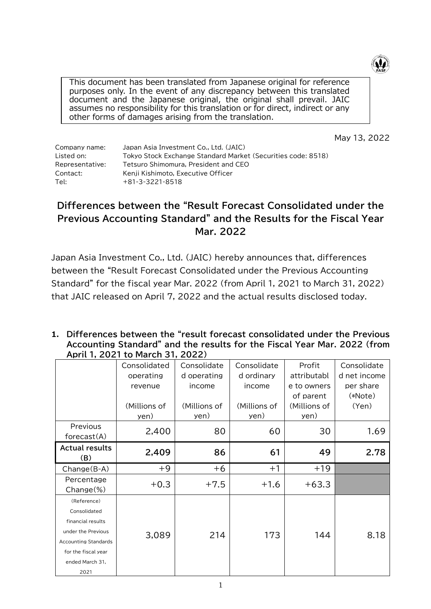

This document has been translated from Japanese original for reference purposes only. In the event of any discrepancy between this translated document and the Japanese original, the original shall prevail. JAIC assumes no responsibility for this translation or for direct, indirect or any other forms of damages arising from the translation.

May 13, 2022

| Tokyo Stock Exchange Standard Market (Securities code: 8518) |
|--------------------------------------------------------------|
|                                                              |
|                                                              |
|                                                              |
|                                                              |

## **Differences between the "Result Forecast Consolidated under the Previous Accounting Standard" and the Results for the Fiscal Year Mar. 2022**

Japan Asia Investment Co., Ltd. (JAIC) hereby announces that, differences between the "Result Forecast Consolidated under the Previous Accounting Standard" for the fiscal year Mar. 2022 (from April 1, 2021 to March 31, 2022) that JAIC released on April 7, 2022 and the actual results disclosed today.

**1. Differences between the "result forecast consolidated under the Previous Accounting Standard" and the results for the Fiscal Year Mar. 2022 (from April 1, 2021 to March 31, 2022)**

|                                                                                                                                                         | $\frac{1}{2}$                                                |                                                              |                                                             |                                                                           |                                                              |
|---------------------------------------------------------------------------------------------------------------------------------------------------------|--------------------------------------------------------------|--------------------------------------------------------------|-------------------------------------------------------------|---------------------------------------------------------------------------|--------------------------------------------------------------|
|                                                                                                                                                         | Consolidated<br>operating<br>revenue<br>(Millions of<br>yen) | Consolidate<br>d operating<br>income<br>(Millions of<br>yen) | Consolidate<br>d ordinary<br>income<br>(Millions of<br>yen) | Profit<br>attributabl<br>e to owners<br>of parent<br>(Millions of<br>yen) | Consolidate<br>d net income<br>per share<br>(*Note)<br>(Yen) |
| Previous<br>forceast(A)                                                                                                                                 | 2,400                                                        | 80                                                           | 60                                                          | 30                                                                        | 1.69                                                         |
| <b>Actual results</b><br>(B)                                                                                                                            | 2,409                                                        | 86                                                           | 61                                                          | 49                                                                        | 2.78                                                         |
| Change(B-A)                                                                                                                                             | $+9$                                                         | $+6$                                                         | $+1$                                                        | $+19$                                                                     |                                                              |
| Percentage<br>$Change(\%)$                                                                                                                              | $+0.3$                                                       | $+7.5$                                                       | $+1.6$                                                      | $+63.3$                                                                   |                                                              |
| (Reference)<br>Consolidated<br>financial results<br>under the Previous<br><b>Accounting Standards</b><br>for the fiscal year<br>ended March 31,<br>2021 | 3,089                                                        | 214                                                          | 173                                                         | 144                                                                       | 8.18                                                         |